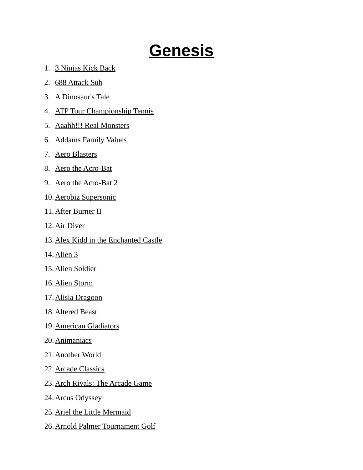## **Genesis**

- 1. 3 Ninjas Kick Back
- 2. 688 Attack Sub
- 3. A Dinosaur's Tale
- 4. ATP Tour Championship Tennis
- 5. Aaahh!!! Real Monsters
- 6. Addams Family Values
- 7. Aero Blasters
- 8. Aero the Acro-Bat
- 9. Aero the Acro-Bat 2
- 10. Aerobiz Supersonic
- 11. After Burner II
- 12. Air Diver
- 13. Alex Kidd in the Enchanted Castle
- 14. Alien 3
- 15. Alien Soldier
- 16. Alien Storm
- 17. Alisia Dragoon
- 18. Altered Beast
- 19. American Gladiators
- 20. Animaniacs
- 21. Another World
- 22. Arcade Classics
- 23. Arch Rivals: The Arcade Game
- 24. Arcus Odyssey
- 25. Ariel the Little Mermaid
- 26. Arnold Palmer Tournament Golf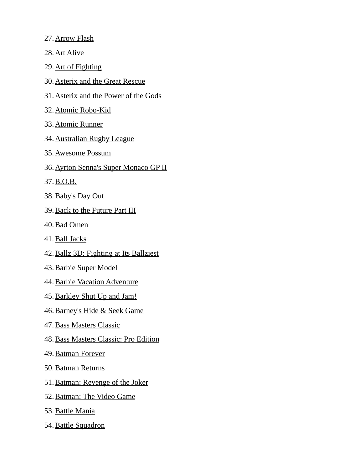- 27. Arrow Flash
- 28. Art Alive
- 29. Art of Fighting
- 30. Asterix and the Great Rescue
- 31. Asterix and the Power of the Gods
- 32. Atomic Robo-Kid
- 33. Atomic Runner
- 34. Australian Rugby League
- 35. Awesome Possum
- 36. Ayrton Senna's Super Monaco GP II
- 37. B.O.B.
- 38. Baby's Day Out
- 39. Back to the Future Part III
- 40. Bad Omen
- 41. Ball Jacks
- 42. Ballz 3D: Fighting at Its Ballziest
- 43. Barbie Super Model
- 44. Barbie Vacation Adventure
- 45. Barkley Shut Up and Jam!
- 46. Barney's Hide & Seek Game
- 47. Bass Masters Classic
- 48. Bass Masters Classic: Pro Edition
- 49. Batman Forever
- 50. Batman Returns
- 51. Batman: Revenge of the Joker
- 52. Batman: The Video Game
- 53. Battle Mania
- 54. Battle Squadron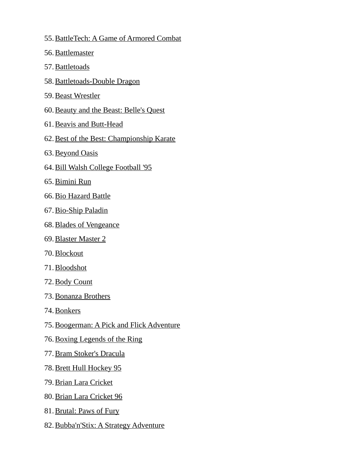- 55. BattleTech: A Game of Armored Combat
- 56. Battlemaster
- 57. Battletoads
- 58. Battletoads-Double Dragon
- 59. Beast Wrestler
- 60. Beauty and the Beast: Belle's Quest
- 61. Beavis and Butt-Head
- 62.Best of the Best: Championship Karate
- 63. Beyond Oasis
- 64. Bill Walsh College Football '95
- 65. Bimini Run
- 66. Bio Hazard Battle
- 67. Bio-Ship Paladin
- 68. Blades of Vengeance
- 69. Blaster Master 2
- 70. Blockout
- 71. Bloodshot
- 72. Body Count
- 73. Bonanza Brothers
- 74. Bonkers
- 75.Boogerman: A Pick and Flick Adventure
- 76. Boxing Legends of the Ring
- 77. Bram Stoker's Dracula
- 78. Brett Hull Hockey 95
- 79. Brian Lara Cricket
- 80. Brian Lara Cricket 96
- 81. Brutal: Paws of Fury
- 82. Bubba'n'Stix: A Strategy Adventure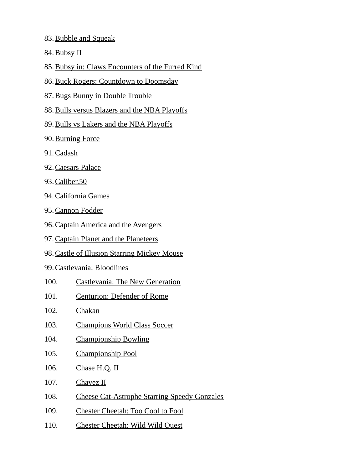- 83. Bubble and Squeak
- 84. Bubsy II
- 85.Bubsy in: Claws Encounters of the Furred Kind
- 86.Buck Rogers: Countdown to Doomsday
- 87. Bugs Bunny in Double Trouble
- 88. Bulls versus Blazers and the NBA Playoffs
- 89. Bulls vs Lakers and the NBA Playoffs
- 90. Burning Force
- 91. Cadash
- 92. Caesars Palace
- 93. Caliber.50
- 94. California Games
- 95. Cannon Fodder
- 96. Captain America and the Avengers
- 97. Captain Planet and the Planeteers
- 98.Castle of Illusion Starring Mickey Mouse
- 99. Castlevania: Bloodlines
- 100. Castlevania: The New Generation
- 101. Centurion: Defender of Rome
- 102. Chakan
- 103. Champions World Class Soccer
- 104. Championship Bowling
- 105. Championship Pool
- 106. Chase H.Q. II
- 107. Chavez II
- 108. Cheese Cat-Astrophe Starring Speedy Gonzales
- 109. Chester Cheetah: Too Cool to Fool
- 110. Chester Cheetah: Wild Wild Quest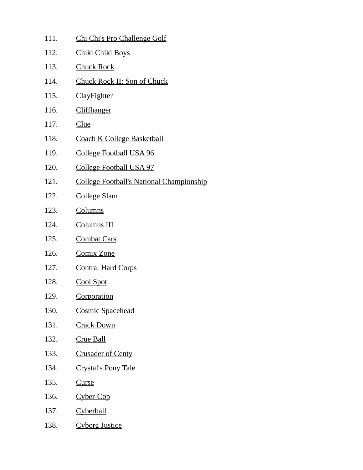111. Chi Chi's Pro Challenge Golf 112. Chiki Chiki Boys 113. Chuck Rock 114. Chuck Rock II: Son of Chuck 115. ClayFighter 116. Cliffhanger 117. Clue 118. Coach K College Basketball 119. College Football USA 96 120. College Football USA 97 121. College Football's National Championship 122. College Slam 123. Columns 124. Columns III 125. Combat Cars 126. Comix Zone 127. Contra: Hard Corps 128. Cool Spot 129. Corporation 130. Cosmic Spacehead 131. Crack Down 132. Crue Ball 133. Crusader of Centy 134. Crystal's Pony Tale 135. Curse 136. Cyber-Cop 137. Cyberball 138. Cyborg Justice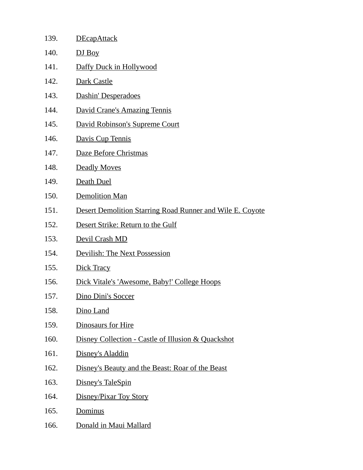| 139. | <b>DEcapAttack</b>                                               |
|------|------------------------------------------------------------------|
| 140. | DJ Boy                                                           |
| 141. | Daffy Duck in Hollywood                                          |
| 142. | Dark Castle                                                      |
| 143. | Dashin' Desperadoes                                              |
| 144. | <b>David Crane's Amazing Tennis</b>                              |
| 145. | David Robinson's Supreme Court                                   |
| 146. | Davis Cup Tennis                                                 |
| 147. | Daze Before Christmas                                            |
| 148. | Deadly Moves                                                     |
| 149. | Death Duel                                                       |
| 150. | <b>Demolition Man</b>                                            |
| 151. | <b>Desert Demolition Starring Road Runner and Wile E. Coyote</b> |
| 152. | Desert Strike: Return to the Gulf                                |
| 153. | Devil Crash MD                                                   |
| 154. | Devilish: The Next Possession                                    |
| 155. | <b>Dick Tracy</b>                                                |
| 156. | Dick Vitale's 'Awesome, Baby!' College Hoops                     |
| 157. | Dino Dini's Soccer                                               |
| 158. | Dino Land                                                        |
| 159. | Dinosaurs for Hire                                               |
| 160. | Disney Collection - Castle of Illusion & Quackshot               |
| 161. | Disney's Aladdin                                                 |
| 162. | Disney's Beauty and the Beast: Roar of the Beast                 |
| 163. | Disney's TaleSpin                                                |
| 164. | Disney/Pixar Toy Story                                           |
| 165. | Dominus                                                          |
| 166. | Donald in Maui Mallard                                           |
|      |                                                                  |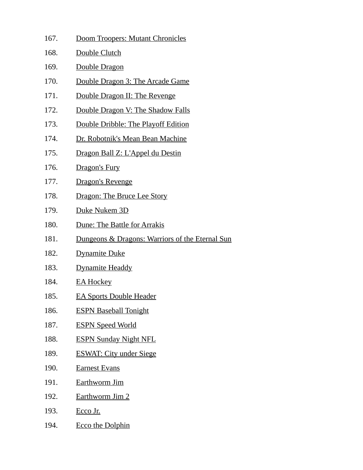167. Doom Troopers: Mutant Chronicles 168. Double Clutch 169. Double Dragon 170. Double Dragon 3: The Arcade Game 171. Double Dragon II: The Revenge 172. Double Dragon V: The Shadow Falls 173. Double Dribble: The Playoff Edition 174. Dr. Robotnik's Mean Bean Machine 175. Dragon Ball Z: L'Appel du Destin 176. Dragon's Fury 177. Dragon's Revenge 178. Dragon: The Bruce Lee Story 179. Duke Nukem 3D 180. Dune: The Battle for Arrakis 181. Dungeons & Dragons: Warriors of the Eternal Sun 182. Dynamite Duke 183. Dynamite Headdy 184. EA Hockey 185. EA Sports Double Header 186. ESPN Baseball Tonight 187. ESPN Speed World 188. ESPN Sunday Night NFL 189. ESWAT: City under Siege 190. Earnest Evans 191. Earthworm Jim 192. Earthworm Jim 2 193. Ecco Jr. 194. Ecco the Dolphin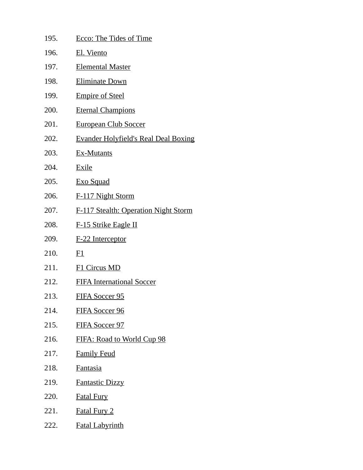| 195. | <b>Ecco: The Tides of Time</b>              |
|------|---------------------------------------------|
| 196. | El. Viento                                  |
| 197. | <b>Elemental Master</b>                     |
| 198. | <b>Eliminate Down</b>                       |
| 199. | <b>Empire of Steel</b>                      |
| 200. | <b>Eternal Champions</b>                    |
| 201. | <b>European Club Soccer</b>                 |
| 202. | <b>Evander Holyfield's Real Deal Boxing</b> |
| 203. | <b>Ex-Mutants</b>                           |
| 204. | <b>Exile</b>                                |
| 205. | <b>Exo Squad</b>                            |
| 206. | F-117 Night Storm                           |
| 207. | <b>F-117 Stealth: Operation Night Storm</b> |
| 208. | <b>F-15 Strike Eagle II</b>                 |
| 209. | F-22 Interceptor                            |
| 210. | E1                                          |
| 211. | F1 Circus MD                                |
| 212. | <b>FIFA International Soccer</b>            |
| 213. | <b>FIFA Soccer 95</b>                       |
| 214. | <b>FIFA Soccer 96</b>                       |
| 215. | <b>FIFA Soccer 97</b>                       |
| 216. | FIFA: Road to World Cup 98                  |
| 217. | <b>Family Feud</b>                          |
| 218. | Fantasia                                    |
| 219. | <b>Fantastic Dizzy</b>                      |
| 220. | <b>Fatal Fury</b>                           |
| 221. | <b>Fatal Fury 2</b>                         |
| 222. | <b>Fatal Labyrinth</b>                      |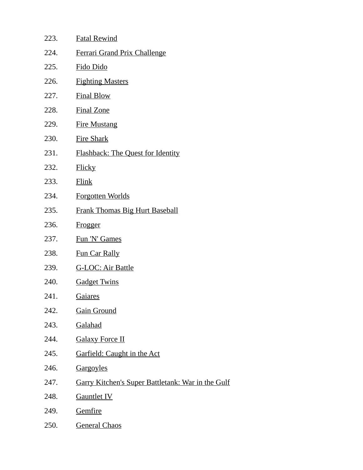| 223. | <b>Fatal Rewind</b>                                      |
|------|----------------------------------------------------------|
| 224. | <b>Ferrari Grand Prix Challenge</b>                      |
| 225. | Fido Dido                                                |
| 226. | <b>Fighting Masters</b>                                  |
| 227. | <b>Final Blow</b>                                        |
| 228. | <b>Final Zone</b>                                        |
| 229. | <b>Fire Mustang</b>                                      |
| 230. | <b>Fire Shark</b>                                        |
| 231. | Flashback: The Quest for Identity                        |
| 232. | <b>Flicky</b>                                            |
| 233. | Flink                                                    |
| 234. | <b>Forgotten Worlds</b>                                  |
| 235. | <b>Frank Thomas Big Hurt Baseball</b>                    |
| 236. | <b>Frogger</b>                                           |
| 237. | Fun 'N' Games                                            |
| 238. | <b>Fun Car Rally</b>                                     |
| 239. | <b>G-LOC: Air Battle</b>                                 |
| 240. | <b>Gadget Twins</b>                                      |
| 241. | <b>Gaiares</b>                                           |
| 242. | <b>Gain Ground</b>                                       |
| 243. | <b>Galahad</b>                                           |
| 244. | <b>Galaxy Force II</b>                                   |
| 245. | <b>Garfield: Caught in the Act</b>                       |
| 246. | Gargoyles                                                |
| 247. | <b>Garry Kitchen's Super Battletank: War in the Gulf</b> |
| 248. | <b>Gauntlet IV</b>                                       |
| 249. | Gemfire                                                  |
| 250. | <b>General Chaos</b>                                     |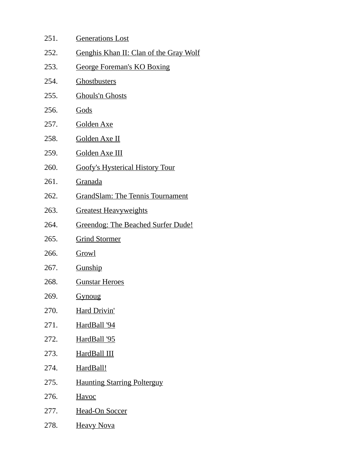251. Generations Lost 252. Genghis Khan II: Clan of the Gray Wolf 253. George Foreman's KO Boxing 254. Ghostbusters 255. Ghouls'n Ghosts 256. Gods 257. Golden Axe 258. Golden Axe II 259. Golden Axe III 260. Goofy's Hysterical History Tour 261. Granada 262. GrandSlam: The Tennis Tournament 263. Greatest Heavyweights 264. Greendog: The Beached Surfer Dude! 265. Grind Stormer 266. Growl 267. Gunship 268. Gunstar Heroes 269. Gynoug 270. Hard Drivin' 271. HardBall '94 272. HardBall '95 273. HardBall III 274. HardBall! 275. Haunting Starring Polterguy 276. Havoc 277. Head-On Soccer 278. Heavy Nova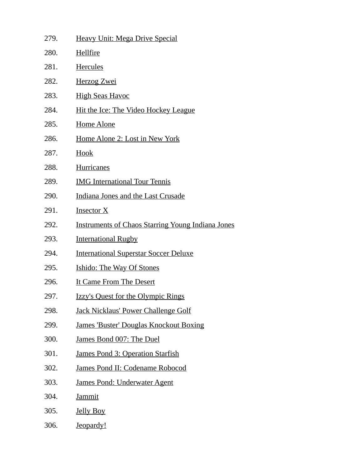| 279. | <b>Heavy Unit: Mega Drive Special</b>                    |
|------|----------------------------------------------------------|
| 280. | <b>Hellfire</b>                                          |
| 281. | <b>Hercules</b>                                          |
| 282. | <b>Herzog Zwei</b>                                       |
| 283. | <b>High Seas Havoc</b>                                   |
| 284. | <u>Hit the Ice: The Video Hockey League</u>              |
| 285. | <b>Home Alone</b>                                        |
| 286. | <u>Home Alone 2: Lost in New York</u>                    |
| 287. | Hook                                                     |
| 288. | <b>Hurricanes</b>                                        |
| 289. | <b>IMG</b> International Tour Tennis                     |
| 290. | Indiana Jones and the Last Crusade                       |
| 291. | <b>Insector X</b>                                        |
| 292. | <b>Instruments of Chaos Starring Young Indiana Jones</b> |
| 293. | <b>International Rugby</b>                               |
| 294. | <b>International Superstar Soccer Deluxe</b>             |
| 295. | <b>Ishido: The Way Of Stones</b>                         |
| 296. | It Came From The Desert                                  |
| 297. | <b>Izzy's Quest for the Olympic Rings</b>                |
| 298. | <b>Jack Nicklaus' Power Challenge Golf</b>               |
| 299. | <b>James 'Buster' Douglas Knockout Boxing</b>            |
| 300. | James Bond 007: The Duel                                 |
| 301. | James Pond 3: Operation Starfish                         |
| 302. | James Pond II: Codename Robocod                          |
| 303. | James Pond: Underwater Agent                             |
| 304. | <b>Jammit</b>                                            |
| 305. | <b>Jelly Boy</b>                                         |
| 306. | Jeopardy!                                                |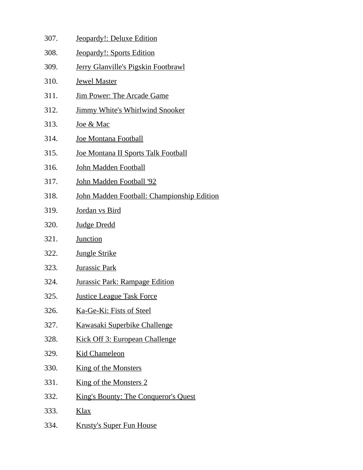| 307. | Jeopardy!: Deluxe Edition                   |
|------|---------------------------------------------|
| 308. | <b>Jeopardy!: Sports Edition</b>            |
| 309. | Jerry Glanville's Pigskin Footbrawl         |
| 310. | <b>Jewel Master</b>                         |
| 311. | <u>Jim Power: The Arcade Game</u>           |
| 312. | <b>Jimmy White's Whirlwind Snooker</b>      |
| 313. | <u>Joe &amp; Mac</u>                        |
| 314. | Joe Montana Football                        |
| 315. | Joe Montana II Sports Talk Football         |
| 316. | John Madden Football                        |
| 317. | John Madden Football '92                    |
| 318. | John Madden Football: Championship Edition  |
| 319. | Jordan vs Bird                              |
| 320. | <b>Judge Dredd</b>                          |
| 321. | <b>Junction</b>                             |
| 322. | <b>Jungle Strike</b>                        |
| 323. | <b>Jurassic Park</b>                        |
| 324. | <b>Jurassic Park: Rampage Edition</b>       |
| 325. | <b>Justice League Task Force</b>            |
| 326. | Ka-Ge-Ki: Fists of Steel                    |
| 327. | <b>Kawasaki Superbike Challenge</b>         |
| 328. | <b>Kick Off 3: European Challenge</b>       |
| 329. | <b>Kid Chameleon</b>                        |
| 330. | <u>King of the Monsters</u>                 |
| 331. | <b>King of the Monsters 2</b>               |
| 332. | <b>King's Bounty: The Conqueror's Quest</b> |
| 333. | <u>Klax</u>                                 |
| 334. | <b>Krusty's Super Fun House</b>             |
|      |                                             |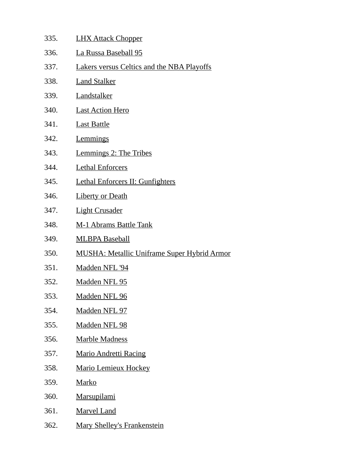| 335. | <b>LHX Attack Chopper</b>                          |
|------|----------------------------------------------------|
| 336. | La Russa Baseball 95                               |
| 337. | Lakers versus Celtics and the NBA Playoffs         |
| 338. | <b>Land Stalker</b>                                |
| 339. | Landstalker                                        |
| 340. | <b>Last Action Hero</b>                            |
| 341. | <b>Last Battle</b>                                 |
| 342. | Lemmings                                           |
| 343. | Lemmings 2: The Tribes                             |
| 344. | <b>Lethal Enforcers</b>                            |
| 345. | Lethal Enforcers II: Gunfighters                   |
| 346. | <b>Liberty or Death</b>                            |
| 347. | <b>Light Crusader</b>                              |
| 348. | <b>M-1 Abrams Battle Tank</b>                      |
| 349. | <b>MLBPA Baseball</b>                              |
| 350. | <b>MUSHA: Metallic Uniframe Super Hybrid Armor</b> |
| 351. | Madden NFL '94                                     |
| 352. | <b>Madden NFL 95</b>                               |
| 353. | <b>Madden NFL 96</b>                               |
| 354. | <u>Madden NFL 97</u>                               |
| 355. | <b>Madden NFL 98</b>                               |
| 356. | <b>Marble Madness</b>                              |
| 357. | <b>Mario Andretti Racing</b>                       |
| 358. | <b>Mario Lemieux Hockey</b>                        |
| 359. | <b>Marko</b>                                       |
| 360. | <b>Marsupilami</b>                                 |
| 361. | <b>Marvel Land</b>                                 |
| 362. | <b>Mary Shelley's Frankenstein</b>                 |
|      |                                                    |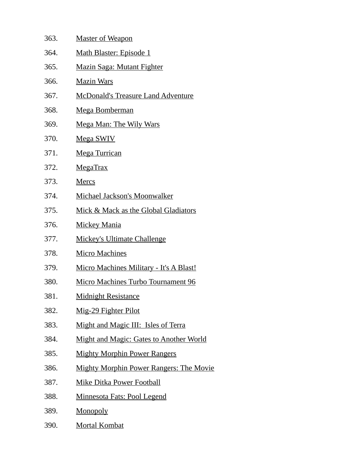| 363. | <u>Master of Weapon</u>                        |
|------|------------------------------------------------|
| 364. | Math Blaster: Episode 1                        |
| 365. | <b>Mazin Saga: Mutant Fighter</b>              |
| 366. | <b>Mazin Wars</b>                              |
| 367. | <u>McDonald's Treasure Land Adventure</u>      |
| 368. | Mega Bomberman                                 |
| 369. | Mega Man: The Wily Wars                        |
| 370. | <b>Mega SWIV</b>                               |
| 371. | <b>Mega Turrican</b>                           |
| 372. | <b>MegaTrax</b>                                |
| 373. | <b>Mercs</b>                                   |
| 374. | Michael Jackson's Moonwalker                   |
| 375. | Mick & Mack as the Global Gladiators           |
| 376. | <b>Mickey Mania</b>                            |
| 377. | <b>Mickey's Ultimate Challenge</b>             |
| 378. | <b>Micro Machines</b>                          |
| 379. | <b>Micro Machines Military - It's A Blast!</b> |
| 380. | Micro Machines Turbo Tournament 96             |
| 381. | <b>Midnight Resistance</b>                     |
| 382. | Mig-29 Fighter Pilot                           |
| 383. | Might and Magic III: Isles of Terra            |
| 384. | <b>Might and Magic: Gates to Another World</b> |
| 385. | <b>Mighty Morphin Power Rangers</b>            |
| 386. | <b>Mighty Morphin Power Rangers: The Movie</b> |
| 387. | <u>Mike Ditka Power Football</u>               |
| 388. | Minnesota Fats: Pool Legend                    |
| 389. | <b>Monopoly</b>                                |
| 390. | <b>Mortal Kombat</b>                           |
|      |                                                |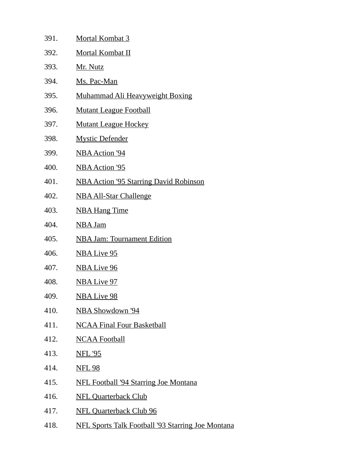| 391. | <b>Mortal Kombat 3</b>                                   |
|------|----------------------------------------------------------|
| 392. | Mortal Kombat II                                         |
| 393. | Mr. Nutz                                                 |
| 394. | Ms. Pac-Man                                              |
| 395. | Muhammad Ali Heavyweight Boxing                          |
| 396. | <b>Mutant League Football</b>                            |
| 397. | <b>Mutant League Hockey</b>                              |
| 398. | <b>Mystic Defender</b>                                   |
| 399. | <b>NBA Action '94</b>                                    |
| 400. | <b>NBA Action '95</b>                                    |
| 401. | <b>NBA Action '95 Starring David Robinson</b>            |
| 402. | <b>NBA All-Star Challenge</b>                            |
| 403. | <b>NBA Hang Time</b>                                     |
| 404. | <b>NBA Jam</b>                                           |
| 405. | <b>NBA Jam: Tournament Edition</b>                       |
| 406. | <b>NBA Live 95</b>                                       |
| 407. | <b>NBA Live 96</b>                                       |
| 408. | <b>NBA Live 97</b>                                       |
| 409. | <u>NBA Live 98</u>                                       |
| 410. | NBA Showdown '94                                         |
| 411. | <b>NCAA Final Four Basketball</b>                        |
| 412. | <b>NCAA Football</b>                                     |
| 413. | <b>NFL '95</b>                                           |
| 414. | <b>NFL 98</b>                                            |
| 415. | <b>NFL Football '94 Starring Joe Montana</b>             |
| 416. | <b>NFL Quarterback Club</b>                              |
| 417. | <b>NFL Quarterback Club 96</b>                           |
| 418. | <b>NFL Sports Talk Football '93 Starring Joe Montana</b> |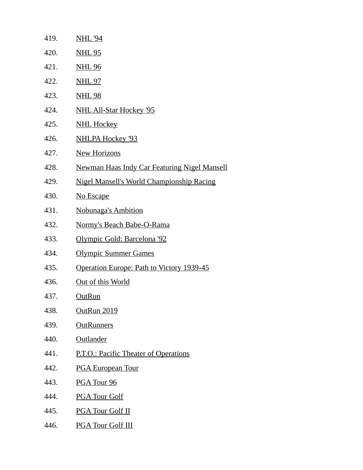| 419. | <b>NHL '94</b>                                          |
|------|---------------------------------------------------------|
| 420. | <b>NHL 95</b>                                           |
| 421. | <u>NHL 96</u>                                           |
| 422. | <u>NHL 97</u>                                           |
| 423. | <u>NHL 98</u>                                           |
| 424. | <b>NHL All-Star Hockey '95</b>                          |
| 425. | <b>NHL Hockey</b>                                       |
| 426. | <b>NHLPA Hockey '93</b>                                 |
| 427. | <b>New Horizons</b>                                     |
| 428. | <b>Newman Haas Indy Car Featuring Nigel Mansell</b>     |
| 429. | <b>Nigel Mansell's World Championship Racing</b>        |
| 430. | No Escape                                               |
| 431. | <b>Nobunaga's Ambition</b>                              |
| 432. | Normy's Beach Babe-O-Rama                               |
| 433. | <u> Olympic Gold: Barcelona '92</u>                     |
| 434. | <b>Olympic Summer Games</b>                             |
| 435. | <u><b>Operation Europe: Path to Victory 1939-45</b></u> |
| 436. | Out of this World                                       |
| 437. | <b>OutRun</b>                                           |
| 438. | OutRun 2019                                             |
| 439. | <b>OutRunners</b>                                       |
| 440. | Outlander                                               |
| 441. | P.T.O.: Pacific Theater of Operations                   |
| 442. | <b>PGA European Tour</b>                                |
| 443. | PGA Tour 96                                             |
| 444. | <b>PGA Tour Golf</b>                                    |
| 445. | <b>PGA Tour Golf II</b>                                 |
| 446. | <b>PGA Tour Golf III</b>                                |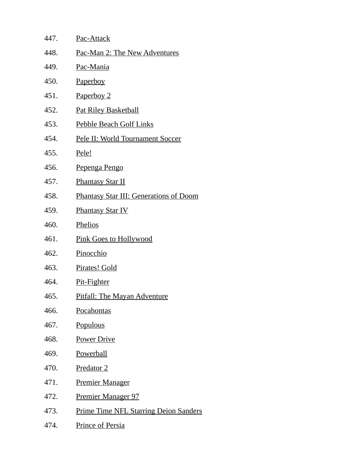| 447. | <b>Pac-Attack</b>                             |
|------|-----------------------------------------------|
| 448. | Pac-Man 2: The New Adventures                 |
| 449. | Pac-Mania                                     |
| 450. | <u>Paperboy</u>                               |
| 451. | Paperboy 2                                    |
| 452. | <b>Pat Riley Basketball</b>                   |
| 453. | Pebble Beach Golf Links                       |
| 454. | Pele II: World Tournament Soccer              |
| 455. | Pele!                                         |
| 456. | <u>Pepenga Pengo</u>                          |
| 457. | <b>Phantasy Star II</b>                       |
| 458. | <b>Phantasy Star III: Generations of Doom</b> |
| 459. | <b>Phantasy Star IV</b>                       |
| 460. | <b>Phelios</b>                                |
| 461. | <b>Pink Goes to Hollywood</b>                 |
| 462. | Pinocchio                                     |
| 463. | Pirates! Gold                                 |
| 464. | <u>Pit-Fighter</u>                            |
| 465. | <b>Pitfall: The Mayan Adventure</b>           |
| 466. | Pocahontas                                    |
| 467. | <u>Populous</u>                               |
| 468. | <b>Power Drive</b>                            |
| 469. | <b>Powerball</b>                              |
| 470. | Predator 2                                    |
| 471. | <b>Premier Manager</b>                        |
| 472. | <u>Premier Manager 97</u>                     |
| 473. | <b>Prime Time NFL Starring Deion Sanders</b>  |
| 474. | <b>Prince of Persia</b>                       |
|      |                                               |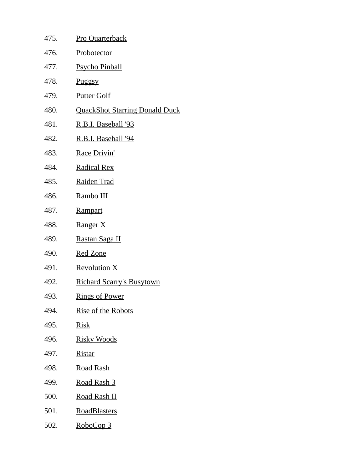| 475. | Pro Quarterback                       |
|------|---------------------------------------|
| 476. | <b>Probotector</b>                    |
| 477. | <b>Psycho Pinball</b>                 |
| 478. | <u>Puggsy</u>                         |
| 479. | <b>Putter Golf</b>                    |
| 480. | <b>QuackShot Starring Donald Duck</b> |
| 481. | <u>R.B.I. Baseball '93</u>            |
| 482. | <u>R.B.I. Baseball '94</u>            |
| 483. | <b>Race Drivin'</b>                   |
| 484. | <b>Radical Rex</b>                    |
| 485. | Raiden Trad                           |
| 486. | Rambo III                             |
| 487. | Rampart                               |
| 488. | Ranger X                              |
| 489. | <u>Rastan Saga II</u>                 |
| 490. | <b>Red Zone</b>                       |
| 491. | <b>Revolution X</b>                   |
| 492. | <u>Richard Scarry's Busytown</u>      |
| 493. | <u>Rings of Power</u>                 |
| 494. | <b>Rise of the Robots</b>             |
| 495. | <b>Risk</b>                           |
| 496. | <u>Risky Woods</u>                    |
| 497. | <b>Ristar</b>                         |
| 498. | <u>Road Rash</u>                      |
| 499. | <u>Road Rash 3</u>                    |
| 500. | <u>Road Rash II</u>                   |
| 501. | <b>RoadBlasters</b>                   |
| 502. | RoboCop 3                             |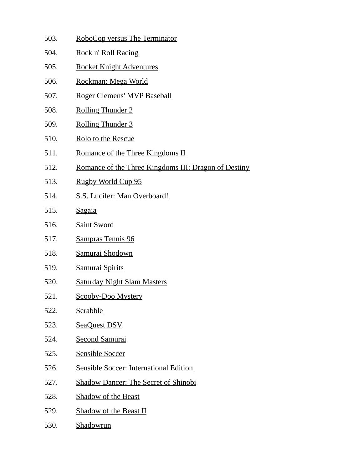- 503. RoboCop versus The Terminator
- 504. Rock n' Roll Racing
- 505. Rocket Knight Adventures
- 506. Rockman: Mega World
- 507. Roger Clemens' MVP Baseball
- 508. Rolling Thunder 2
- 509. Rolling Thunder 3
- 510. Rolo to the Rescue
- 511. Romance of the Three Kingdoms II
- 512. Romance of the Three Kingdoms III: Dragon of Destiny
- 513. Rugby World Cup 95
- 514. S.S. Lucifer: Man Overboard!
- 515. Sagaia
- 516. Saint Sword
- 517. Sampras Tennis 96
- 518. Samurai Shodown
- 519. Samurai Spirits
- 520. Saturday Night Slam Masters
- 521. Scooby-Doo Mystery
- 522. Scrabble
- 523. SeaQuest DSV
- 524. Second Samurai
- 525. Sensible Soccer
- 526. Sensible Soccer: International Edition
- 527. Shadow Dancer: The Secret of Shinobi
- 528. Shadow of the Beast
- 529. Shadow of the Beast II
- 530. Shadowrun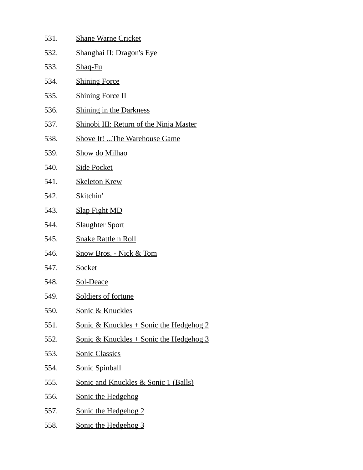| 531. | <b>Shane Warne Cricket</b>                          |
|------|-----------------------------------------------------|
| 532. | <b>Shanghai II: Dragon's Eye</b>                    |
| 533. | Shaq-Fu                                             |
| 534. | <b>Shining Force</b>                                |
| 535. | <b>Shining Force II</b>                             |
| 536. | <b>Shining in the Darkness</b>                      |
| 537. | Shinobi III: Return of the Ninja Master             |
| 538. | <b>Shove It!  The Warehouse Game</b>                |
| 539. | Show do Milhao                                      |
| 540. | <b>Side Pocket</b>                                  |
| 541. | <b>Skeleton Krew</b>                                |
| 542. | Skitchin'                                           |
| 543. | <b>Slap Fight MD</b>                                |
| 544. | <b>Slaughter Sport</b>                              |
| 545. | <b>Snake Rattle n Roll</b>                          |
| 546. | <b>Snow Bros. - Nick &amp; Tom</b>                  |
| 547. | <b>Socket</b>                                       |
| 548. | Sol-Deace                                           |
| 549. | Soldiers of fortune                                 |
| 550. | Sonic & Knuckles                                    |
| 551. | <u> Sonic &amp; Knuckles + Sonic the Hedgehog 2</u> |
| 552. | <u> Sonic &amp; Knuckles + Sonic the Hedgehog 3</u> |
| 553. | <b>Sonic Classics</b>                               |
| 554. | <b>Sonic Spinball</b>                               |
| 555. | Sonic and Knuckles & Sonic 1 (Balls)                |
| 556. | <b>Sonic the Hedgehog</b>                           |
| 557. | Sonic the Hedgehog 2                                |
| 558. | Sonic the Hedgehog 3                                |
|      |                                                     |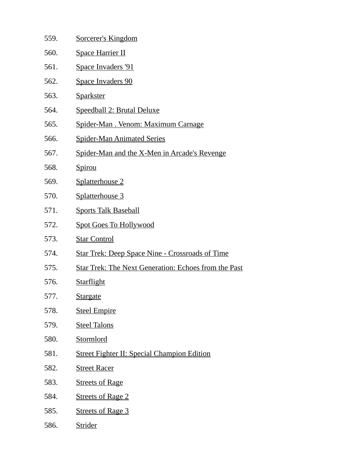| 559. | Sorcerer's Kingdom                                          |
|------|-------------------------------------------------------------|
| 560. | <b>Space Harrier II</b>                                     |
| 561. | <b>Space Invaders '91</b>                                   |
| 562. | <b>Space Invaders 90</b>                                    |
| 563. | <b>Sparkster</b>                                            |
| 564. | Speedball 2: Brutal Deluxe                                  |
| 565. | Spider-Man. Venom: Maximum Carnage                          |
| 566. | <b>Spider-Man Animated Series</b>                           |
| 567. | Spider-Man and the X-Men in Arcade's Revenge                |
| 568. | <b>Spirou</b>                                               |
| 569. | Splatterhouse 2                                             |
| 570. | Splatterhouse 3                                             |
| 571. | <b>Sports Talk Baseball</b>                                 |
| 572. | <b>Spot Goes To Hollywood</b>                               |
| 573. | <b>Star Control</b>                                         |
| 574. | <b>Star Trek: Deep Space Nine - Crossroads of Time</b>      |
| 575. | <b>Star Trek: The Next Generation: Echoes from the Past</b> |
| 576. | <b>Starflight</b>                                           |
| 577. | <b>Stargate</b>                                             |
| 578. | <b>Steel Empire</b>                                         |
| 579. | <b>Steel Talons</b>                                         |
| 580. | <b>Stormlord</b>                                            |
| 581. | <b>Street Fighter II: Special Champion Edition</b>          |
| 582. | <b>Street Racer</b>                                         |
| 583. | <b>Streets of Rage</b>                                      |
| 584. | <b>Streets of Rage 2</b>                                    |
| 585. | <b>Streets of Rage 3</b>                                    |
| 586. | <b>Strider</b>                                              |
|      |                                                             |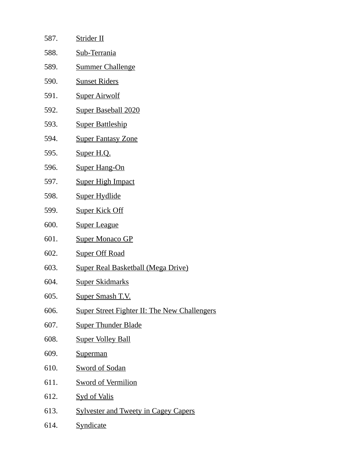| 587. | <b>Strider II</b>                                   |
|------|-----------------------------------------------------|
| 588. | Sub-Terrania                                        |
| 589. | <b>Summer Challenge</b>                             |
| 590. | <b>Sunset Riders</b>                                |
| 591. | <b>Super Airwolf</b>                                |
| 592. | <b>Super Baseball 2020</b>                          |
| 593. | <b>Super Battleship</b>                             |
| 594. | <b>Super Fantasy Zone</b>                           |
| 595. | Super H.Q.                                          |
| 596. | <b>Super Hang-On</b>                                |
| 597. | <b>Super High Impact</b>                            |
| 598. | Super Hydlide                                       |
| 599. | <b>Super Kick Off</b>                               |
| 600. | <b>Super League</b>                                 |
| 601. | <b>Super Monaco GP</b>                              |
| 602. | <b>Super Off Road</b>                               |
| 603. | <b>Super Real Basketball (Mega Drive)</b>           |
| 604. | Super Skidmarks                                     |
| 605. | <u>Super Smash T.V.</u>                             |
| 606. | <b>Super Street Fighter II: The New Challengers</b> |
| 607. | <b>Super Thunder Blade</b>                          |
| 608. | <b>Super Volley Ball</b>                            |
| 609. | <b>Superman</b>                                     |
| 610. | <b>Sword of Sodan</b>                               |
| 611. | <b>Sword of Vermilion</b>                           |
| 612. | <b>Syd of Valis</b>                                 |
| 613. | <b>Sylvester and Tweety in Cagey Capers</b>         |
| 614. | <b>Syndicate</b>                                    |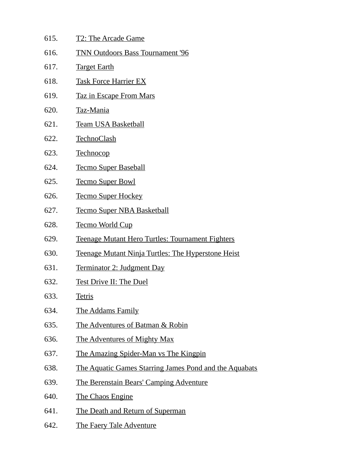| 615. | <b>T2: The Arcade Game</b>                                    |
|------|---------------------------------------------------------------|
| 616. | <b>TNN Outdoors Bass Tournament '96</b>                       |
| 617. | <b>Target Earth</b>                                           |
| 618. | <b>Task Force Harrier EX</b>                                  |
| 619. | <b>Taz in Escape From Mars</b>                                |
| 620. | Taz-Mania                                                     |
| 621. | <b>Team USA Basketball</b>                                    |
| 622. | <b>TechnoClash</b>                                            |
| 623. | <b>Technocop</b>                                              |
| 624. | <b>Tecmo Super Baseball</b>                                   |
| 625. | <b>Tecmo Super Bowl</b>                                       |
| 626. | <b>Tecmo Super Hockey</b>                                     |
| 627. | <b>Tecmo Super NBA Basketball</b>                             |
| 628. | <u>Tecmo World Cup</u>                                        |
| 629. | <b>Teenage Mutant Hero Turtles: Tournament Fighters</b>       |
| 630. | Teenage Mutant Ninja Turtles: The Hyperstone Heist            |
| 631. | Terminator 2: Judgment Day                                    |
| 632. | <b>Test Drive II: The Duel</b>                                |
| 633. | <b>Tetris</b>                                                 |
| 634. | <b>The Addams Family</b>                                      |
| 635. | The Adventures of Batman & Robin                              |
| 636. | The Adventures of Mighty Max                                  |
| 637. | The Amazing Spider-Man vs The Kingpin                         |
| 638. | <u>The Aquatic Games Starring James Pond and the Aquabats</u> |
| 639. | <b>The Berenstain Bears' Camping Adventure</b>                |
| 640. | The Chaos Engine                                              |
| 641. | The Death and Return of Superman                              |
| 642. | <b>The Faery Tale Adventure</b>                               |
|      |                                                               |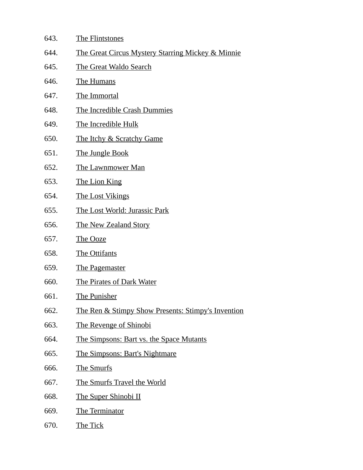- 643. The Flintstones
- 644. The Great Circus Mystery Starring Mickey & Minnie
- 645. The Great Waldo Search
- 646. The Humans
- 647. The Immortal
- 648. The Incredible Crash Dummies
- 649. The Incredible Hulk
- 650. The Itchy & Scratchy Game
- 651. The Jungle Book
- 652. The Lawnmower Man
- 653. The Lion King
- 654. The Lost Vikings
- 655. The Lost World: Jurassic Park
- 656. The New Zealand Story
- 657. The Ooze
- 658. The Ottifants
- 659. The Pagemaster
- 660. The Pirates of Dark Water
- 661. The Punisher
- 662. The Ren & Stimpy Show Presents: Stimpy's Invention
- 663. The Revenge of Shinobi
- 664. The Simpsons: Bart vs. the Space Mutants
- 665. The Simpsons: Bart's Nightmare
- 666. The Smurfs
- 667. The Smurfs Travel the World
- 668. The Super Shinobi II
- 669. The Terminator
- 670. The Tick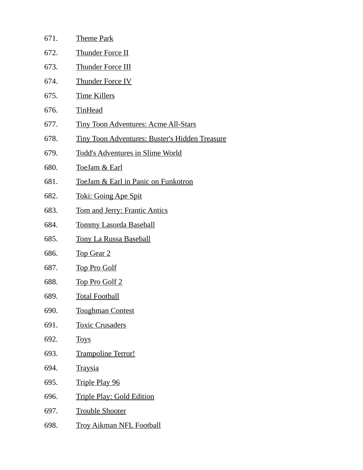| 671. | Theme Park                                            |
|------|-------------------------------------------------------|
| 672. | Thunder Force II                                      |
| 673. | Thunder Force III                                     |
| 674. | <b>Thunder Force IV</b>                               |
| 675. | <b>Time Killers</b>                                   |
| 676. | <b>TinHead</b>                                        |
| 677. | <b>Tiny Toon Adventures: Acme All-Stars</b>           |
| 678. | <b>Tiny Toon Adventures: Buster's Hidden Treasure</b> |
| 679. | <b>Todd's Adventures in Slime World</b>               |
| 680. | <u>ToeJam &amp; Earl</u>                              |
| 681. | ToeJam & Earl in Panic on Funkotron                   |
| 682. | <b>Toki: Going Ape Spit</b>                           |
| 683. | <b>Tom and Jerry: Frantic Antics</b>                  |
| 684. | <b>Tommy Lasorda Baseball</b>                         |
| 685. | <b>Tony La Russa Baseball</b>                         |
| 686. | <b>Top Gear 2</b>                                     |
| 687. | <b>Top Pro Golf</b>                                   |
| 688. | <b>Top Pro Golf 2</b>                                 |
| 689. | <u>Total Football</u>                                 |
| 690. | <b>Toughman Contest</b>                               |
| 691. | <b>Toxic Crusaders</b>                                |
| 692. | <b>Toys</b>                                           |
| 693. | <b>Trampoline Terror!</b>                             |
| 694. | <b>Traysia</b>                                        |
| 695. | <b>Triple Play 96</b>                                 |
| 696. | Triple Play: Gold Edition                             |
| 697. | <b>Trouble Shooter</b>                                |
| 698. | <b>Troy Aikman NFL Football</b>                       |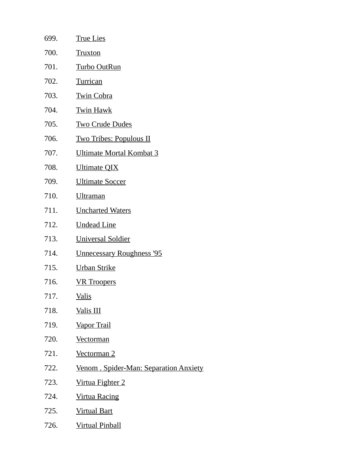| 699. | <b>True Lies</b>                       |
|------|----------------------------------------|
| 700. | <b>Truxton</b>                         |
| 701. | <b>Turbo OutRun</b>                    |
| 702. | Turrican                               |
| 703. | <b>Twin Cobra</b>                      |
| 704. | <b>Twin Hawk</b>                       |
| 705. | <b>Two Crude Dudes</b>                 |
| 706. | <u>Two Tribes: Populous II</u>         |
| 707. | <b>Ultimate Mortal Kombat 3</b>        |
| 708. | <b>Ultimate QIX</b>                    |
| 709. | <b>Ultimate Soccer</b>                 |
| 710. | <b>Ultraman</b>                        |
| 711. | <b>Uncharted Waters</b>                |
| 712. | <b>Undead Line</b>                     |
| 713. | <b>Universal Soldier</b>               |
| 714. | <b>Unnecessary Roughness '95</b>       |
| 715. | <b>Urban Strike</b>                    |
| 716. | <b>VR</b> Troopers                     |
| 717. | <u>Valis</u>                           |
| 718. | Valis III                              |
| 719. | <b>Vapor Trail</b>                     |
| 720. | <u>Vectorman</u>                       |
| 721. | <b>Vectorman 2</b>                     |
| 722. | Venom . Spider-Man: Separation Anxiety |
| 723. | Virtua Fighter 2                       |
| 724. | <b>Virtua Racing</b>                   |
| 725. | <b>Virtual Bart</b>                    |
| 726. | <b>Virtual Pinball</b>                 |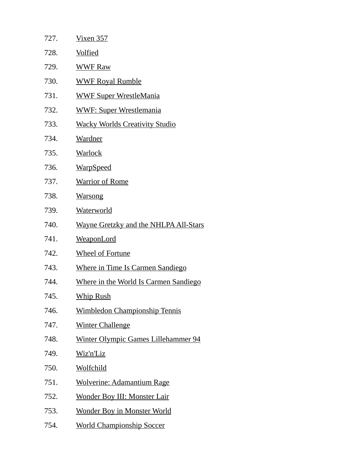| 727. | <u>Vixen 357</u>                             |
|------|----------------------------------------------|
| 728. | <u>Volfied</u>                               |
| 729. | <b>WWF Raw</b>                               |
| 730. | <b>WWF Royal Rumble</b>                      |
| 731. | <u>WWF Super WrestleMania</u>                |
| 732. | <b>WWF: Super Wrestlemania</b>               |
| 733. | <b>Wacky Worlds Creativity Studio</b>        |
| 734. | Wardner                                      |
| 735. | <b>Warlock</b>                               |
| 736. | <u>WarpSpeed</u>                             |
| 737. | <b>Warrior of Rome</b>                       |
| 738. | <b>Warsong</b>                               |
| 739. | <b>Waterworld</b>                            |
| 740. | <b>Wayne Gretzky and the NHLPA All-Stars</b> |
| 741. | <b>WeaponLord</b>                            |
| 742. | <b>Wheel of Fortune</b>                      |
| 743. | <b>Where in Time Is Carmen Sandiego</b>      |
| 744. | Where in the World Is Carmen Sandiego        |
| 745. | <u>Whip Rush</u>                             |
| 746. | <b>Wimbledon Championship Tennis</b>         |
| 747. | <b>Winter Challenge</b>                      |
| 748. | <b>Winter Olympic Games Lillehammer 94</b>   |
| 749. | Wiz'n'Liz                                    |
| 750. | <u>Wolfchild</u>                             |
| 751. | <b>Wolverine: Adamantium Rage</b>            |
| 752. | <b>Wonder Boy III: Monster Lair</b>          |
| 753. | <b>Wonder Boy in Monster World</b>           |
| 754. | <b>World Championship Soccer</b>             |